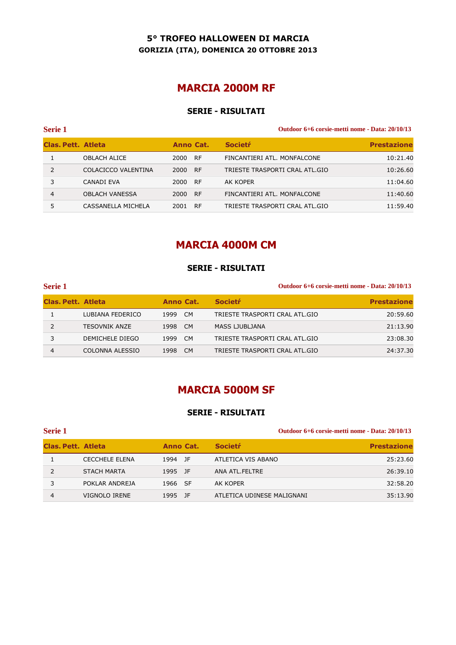### **5° TROFEO HALLOWEEN DI MARCIA GORIZIA (ITA), DOMENICA 20 OTTOBRE 2013**

# **MARCIA 2000M RF**

### **SERIE - RISULTATI**

| <b>Serie 1</b>     |                       |                   | Outdoor 6+6 corsie-metti nome - Data: 20/10/13 |                    |  |
|--------------------|-----------------------|-------------------|------------------------------------------------|--------------------|--|
| Clas. Pett. Atleta |                       | Anno Cat.         | <b>Societr</b>                                 | <b>Prestazione</b> |  |
|                    | <b>OBLACH ALICE</b>   | 2000 RF           | FINCANTIERI ATL. MONFALCONE                    | 10:21.40           |  |
| $\mathcal{P}$      | COLACICCO VALENTINA   | - RF<br>2000      | TRIESTE TRASPORTI CRAL ATL.GIO                 | 10:26.60           |  |
|                    | CANADI EVA            | 2000<br>-RF       | AK KOPER                                       | 11:04.60           |  |
| 4                  | <b>OBLACH VANESSA</b> | 2000<br><b>RF</b> | FINCANTIERI ATL. MONFALCONE                    | 11:40.60           |  |
|                    | CASSANELLA MICHELA    | <b>RF</b><br>2001 | TRIESTE TRASPORTI CRAL ATL.GIO                 | 11:59.40           |  |
|                    |                       |                   |                                                |                    |  |

## **MARCIA 4000M CM**

#### **SERIE - RISULTATI**

| <b>Serie 1</b>            |                  |      |           | Outdoor 6+6 corsie-metti nome - Data: 20/10/13 |                    |
|---------------------------|------------------|------|-----------|------------------------------------------------|--------------------|
| <b>Clas. Pett. Atleta</b> |                  |      | Anno Cat. | <b>Societr</b>                                 | <b>Prestazione</b> |
|                           | LUBIANA FEDERICO | 1999 | CM        | TRIESTE TRASPORTI CRAL ATL.GIO                 | 20:59.60           |
|                           | TESOVNIK ANZE    | 1998 | <b>CM</b> | MASS LJUBLJANA                                 | 21:13.90           |
|                           | DEMICHELE DIEGO  | 1999 | - CM      | TRIESTE TRASPORTI CRAL ATL.GIO                 | 23:08.30           |
| 4                         | COLONNA ALESSIO  | 1998 | <b>CM</b> | TRIESTE TRASPORTI CRAL ATL.GIO                 | 24:37.30           |

## **MARCIA 5000M SF**

#### **SERIE - RISULTATI**

| Serie 1                   |                       |           |                            | Outdoor 6+6 corsie-metti nome - Data: 20/10/13 |  |
|---------------------------|-----------------------|-----------|----------------------------|------------------------------------------------|--|
| <b>Clas, Pett. Atleta</b> |                       | Anno Cat. | <b>Societr</b>             | <b>Prestazione</b>                             |  |
|                           | <b>CECCHELE ELENA</b> | 1994 JF   | ATLETICA VIS ABANO         | 25:23.60                                       |  |
|                           | <b>STACH MARTA</b>    | 1995 JF   | ANA ATL.FELTRE             | 26:39.10                                       |  |
|                           | POKLAR ANDREJA        | 1966 SF   | AK KOPER                   | 32:58.20                                       |  |
| 4                         | VIGNOLO IRENE         | 1995 JF   | ATLETICA UDINESE MALIGNANI | 35:13.90                                       |  |